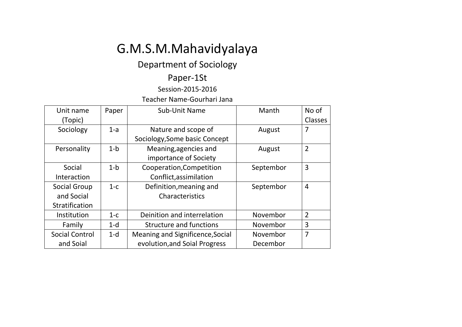# G.M.S.M.Mahavidyalaya

## Department of Sociology

### Paper-1St

### Session-2015-2016

Teacher Name-Gourhari Jana

| Unit name             | Paper   | Sub-Unit Name                    | Manth     | No of          |
|-----------------------|---------|----------------------------------|-----------|----------------|
| (Topic)               |         |                                  |           | <b>Classes</b> |
| Sociology             | $1-a$   | Nature and scope of              | August    | 7              |
|                       |         | Sociology, Some basic Concept    |           |                |
| Personality           | $1-b$   | Meaning, agencies and            | August    | $\overline{2}$ |
|                       |         | importance of Society            |           |                |
| Social                | $1-b$   | Cooperation, Competition         | Septembor | 3              |
| Interaction           |         | Conflict, assimilation           |           |                |
| Social Group          | $1-c$   | Definition, meaning and          | Septembor | 4              |
| and Social            |         | Characteristics                  |           |                |
| Stratification        |         |                                  |           |                |
| Institution           | $1 - c$ | Deinition and interrelation      | Novembor  | $\overline{2}$ |
| Family                | $1-d$   | <b>Structure and functions</b>   | Novembor  | 3              |
| <b>Social Control</b> | $1-d$   | Meaning and Significence, Social | Novembor  | $\overline{7}$ |
| and Soial             |         | evolution, and Soial Progress    | Decembor  |                |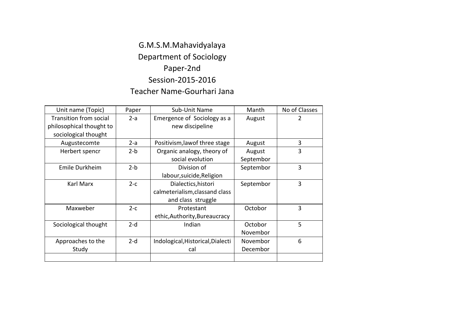### G.M.S.M.Mahavidyalaya Department of Sociology Paper-2nd Session-2015-2016 Teacher Name-Gourhari Jana

| Unit name (Topic)        | Paper | Sub-Unit Name                     | Manth     | No of Classes |
|--------------------------|-------|-----------------------------------|-----------|---------------|
| Transition from social   | $2-a$ | Emergence of Sociology as a       | August    | 2             |
| philosophical thought to |       | new discipeline                   |           |               |
| sociological thought     |       |                                   |           |               |
| Augustecomte             | $2-a$ | Positivism, lawof three stage     | August    | 3             |
| Herbert spencr           | $2-b$ | Organic analogy, theory of        | August    | 3             |
|                          |       | social evolution                  | Septembor |               |
| Emile Durkheim           | $2-b$ | Division of                       | Septembor | 3             |
|                          |       | labour, suicide, Religion         |           |               |
| Karl Marx                | $2-c$ | Dialectics, histori               | Septembor | 3             |
|                          |       | calmeterialism, classand class    |           |               |
|                          |       | and class struggle                |           |               |
| Maxweber                 | $2-c$ | Protestant                        | Octobor   | 3             |
|                          |       | ethic, Authority, Bureaucracy     |           |               |
| Sociological thought     | $2-d$ | Indian                            | Octobor   | 5             |
|                          |       |                                   | Novembor  |               |
| Approaches to the        | $2-d$ | Indological, Historical, Dialecti | Novembor  | 6             |
| Study                    |       | cal                               | Decembor  |               |
|                          |       |                                   |           |               |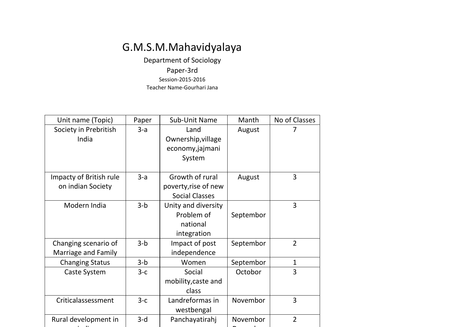## G.M.S.M.Mahavidyalaya

Department of Sociology Paper-3rd Session-2015-2016 Teacher Name-Gourhari Jana

| Unit name (Topic)       | Paper | Sub-Unit Name         | Manth     | No of Classes  |
|-------------------------|-------|-----------------------|-----------|----------------|
| Society in Prebritish   | $3-a$ | Land                  | August    |                |
| India                   |       | Ownership, village    |           |                |
|                         |       | economy,jajmani       |           |                |
|                         |       | System                |           |                |
|                         |       |                       |           |                |
| Impacty of British rule | $3-a$ | Growth of rural       | August    | 3              |
| on indian Society       |       | poverty, rise of new  |           |                |
|                         |       | <b>Social Classes</b> |           |                |
| Modern India            | $3-b$ | Unity and diversity   |           | 3              |
|                         |       | Problem of            | Septembor |                |
|                         |       | national              |           |                |
|                         |       | integration           |           |                |
| Changing scenario of    | $3-b$ | Impact of post        | Septembor | $\overline{2}$ |
| Marriage and Family     |       | independence          |           |                |
| <b>Changing Status</b>  | $3-b$ | Women                 | Septembor | $\mathbf{1}$   |
| <b>Caste System</b>     | $3-c$ | Social                | Octobor   | 3              |
|                         |       | mobility, caste and   |           |                |
|                         |       | class                 |           |                |
| Criticalassessment      | $3-c$ | Landreformas in       | Novembor  | 3              |
|                         |       | westbengal            |           |                |
| Rural development in    | $3-d$ | Panchayatirahj        | Novembor  | $\overline{2}$ |
|                         |       |                       |           |                |